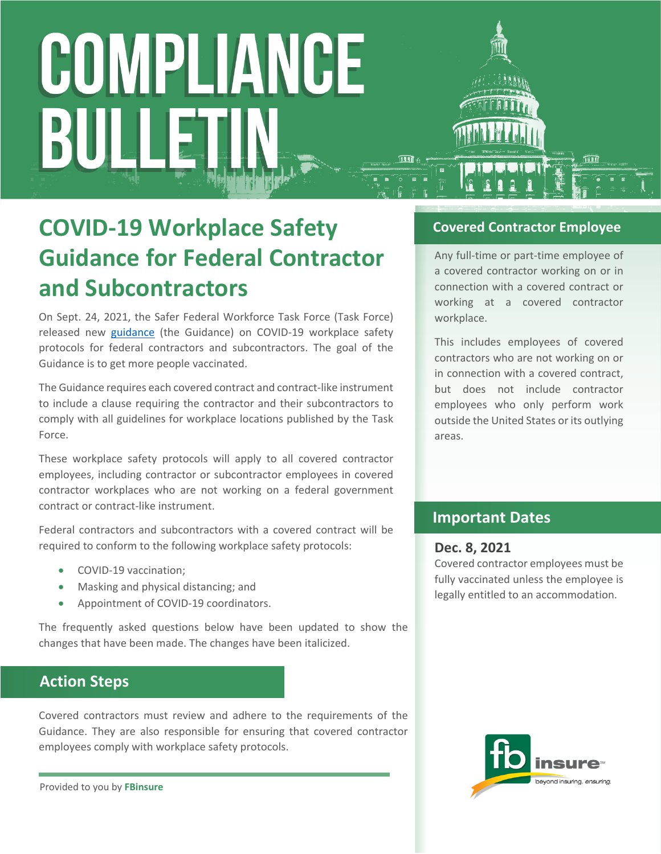### **COVID-19 Workplace Safety Guidance for Federal Contractor and Subcontractors**

On Sept. 24, 2021, the Safer Federal Workforce Task Force (Task Force) released new [guidance](https://www.saferfederalworkforce.gov/downloads/Draft%20contractor%20guidance%20doc_20210922.pdf) (the Guidance) on COVID-19 workplace safety protocols for federal contractors and subcontractors. The goal of the Guidance is to get more people vaccinated.

The Guidance requires each covered contract and contract-like instrument to include a clause requiring the contractor and their subcontractors to comply with all guidelines for workplace locations published by the Task Force.

These workplace safety protocols will apply to all covered contractor employees, including contractor or subcontractor employees in covered contractor workplaces who are not working on a federal government contract or contract-like instrument.

Federal contractors and subcontractors with a covered contract will be required to conform to the following workplace safety protocols:

- COVID-19 vaccination;
- Masking and physical distancing; and
- Appointment of COVID-19 coordinators.

The frequently asked questions below have been updated to show the changes that have been made. The changes have been italicized.

### **Action Steps**

Covered contractors must review and adhere to the requirements of the Guidance. They are also responsible for ensuring that covered contractor employees comply with workplace safety protocols.

Provided to you by **FBinsure**

### **Covered Contractor Employee**

Any full-time or part-time employee of a covered contractor working on or in connection with a covered contract or working at a covered contractor workplace.

This includes employees of covered contractors who are not working on or in connection with a covered contract, but does not include contractor employees who only perform work outside the United States or its outlying areas.

### **Important Dates**

#### **Dec. 8, 2021**

Covered contractor employees must be fully vaccinated unless the employee is legally entitled to an accommodation.

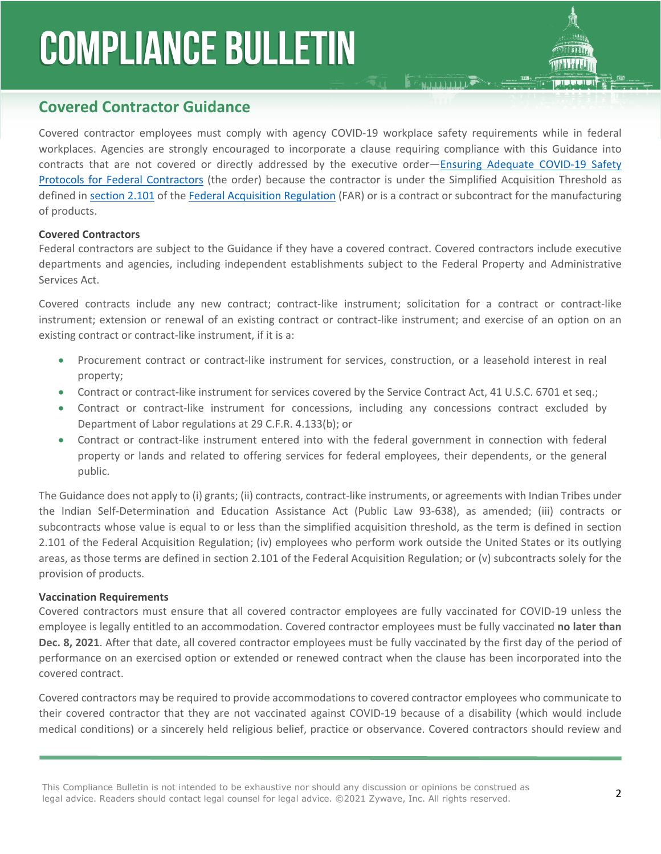### **Covered Contractor Guidance**

Covered contractor employees must comply with agency COVID-19 workplace safety requirements while in federal workplaces. Agencies are strongly encouraged to incorporate a clause requiring compliance with this Guidance into contracts that are not covered or directly addressed by the executive order—[Ensuring Adequate COVID-19 Safety](https://www.whitehouse.gov/briefing-room/presidential-actions/2021/09/09/executive-order-on-ensuring-adequate-covid-safety-protocols-for-federal-contractors/)  [Protocols for Federal Contractors](https://www.whitehouse.gov/briefing-room/presidential-actions/2021/09/09/executive-order-on-ensuring-adequate-covid-safety-protocols-for-federal-contractors/) (the order) because the contractor is under the Simplified Acquisition Threshold as defined in [section 2.101](https://www.acquisition.gov/far/2.101) of the [Federal Acquisition Regulation](https://www.acquisition.gov/browse/index/far) (FAR) or is a contract or subcontract for the manufacturing of products.

**E MAIL LIBRARY** 

#### **Covered Contractors**

Federal contractors are subject to the Guidance if they have a covered contract. Covered contractors include executive departments and agencies, including independent establishments subject to the Federal Property and Administrative Services Act.

Covered contracts include any new contract; contract-like instrument; solicitation for a contract or contract-like instrument; extension or renewal of an existing contract or contract-like instrument; and exercise of an option on an existing contract or contract-like instrument, if it is a:

- Procurement contract or contract-like instrument for services, construction, or a leasehold interest in real property;
- Contract or contract-like instrument for services covered by the Service Contract Act, 41 U.S.C. 6701 et seq.;
- Contract or contract-like instrument for concessions, including any concessions contract excluded by Department of Labor regulations at 29 C.F.R. 4.133(b); or
- Contract or contract-like instrument entered into with the federal government in connection with federal property or lands and related to offering services for federal employees, their dependents, or the general public.

The Guidance does not apply to (i) grants; (ii) contracts, contract-like instruments, or agreements with Indian Tribes under the Indian Self-Determination and Education Assistance Act (Public Law 93-638), as amended; (iii) contracts or subcontracts whose value is equal to or less than the simplified acquisition threshold, as the term is defined in section 2.101 of the Federal Acquisition Regulation; (iv) employees who perform work outside the United States or its outlying areas, as those terms are defined in section 2.101 of the Federal Acquisition Regulation; or (v) subcontracts solely for the provision of products.

#### **Vaccination Requirements**

Covered contractors must ensure that all covered contractor employees are fully vaccinated for COVID-19 unless the employee is legally entitled to an accommodation. Covered contractor employees must be fully vaccinated **no later than Dec. 8, 2021**. After that date, all covered contractor employees must be fully vaccinated by the first day of the period of performance on an exercised option or extended or renewed contract when the clause has been incorporated into the covered contract.

Covered contractors may be required to provide accommodations to covered contractor employees who communicate to their covered contractor that they are not vaccinated against COVID-19 because of a disability (which would include medical conditions) or a sincerely held religious belief, practice or observance. Covered contractors should review and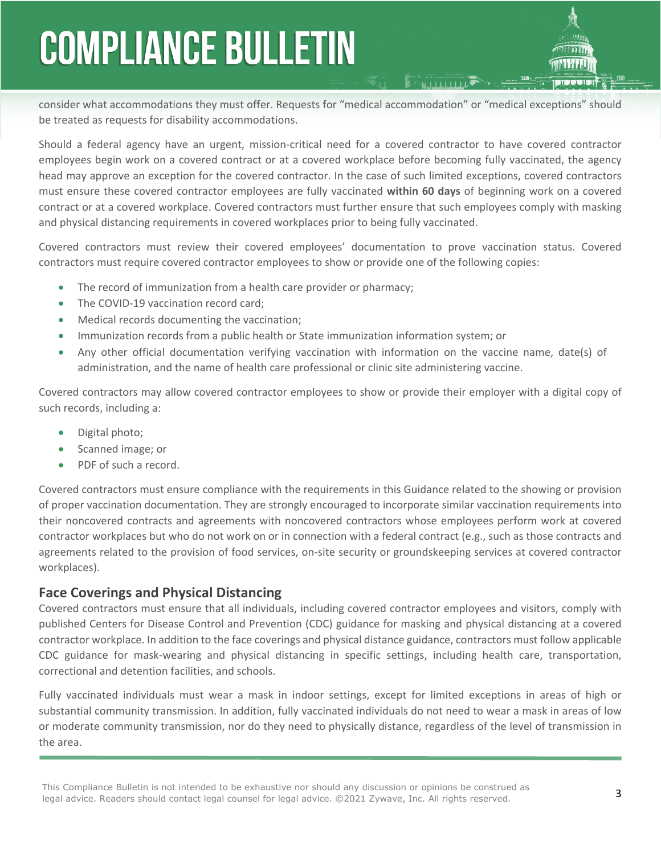consider what accommodations they must offer. Requests for "medical accommodation" or "medical exceptions" should be treated as requests for disability accommodations.

Should a federal agency have an urgent, mission-critical need for a covered contractor to have covered contractor employees begin work on a covered contract or at a covered workplace before becoming fully vaccinated, the agency head may approve an exception for the covered contractor. In the case of such limited exceptions, covered contractors must ensure these covered contractor employees are fully vaccinated **within 60 days** of beginning work on a covered contract or at a covered workplace. Covered contractors must further ensure that such employees comply with masking and physical distancing requirements in covered workplaces prior to being fully vaccinated.

Covered contractors must review their covered employees' documentation to prove vaccination status. Covered contractors must require covered contractor employees to show or provide one of the following copies:

- The record of immunization from a health care provider or pharmacy;
- The COVID-19 vaccination record card;
- Medical records documenting the vaccination;
- Immunization records from a public health or State immunization information system; or
- Any other official documentation verifying vaccination with information on the vaccine name, date(s) of administration, and the name of health care professional or clinic site administering vaccine.

Covered contractors may allow covered contractor employees to show or provide their employer with a digital copy of such records, including a:

- Digital photo;
- Scanned image; or
- PDF of such a record.

Covered contractors must ensure compliance with the requirements in this Guidance related to the showing or provision of proper vaccination documentation. They are strongly encouraged to incorporate similar vaccination requirements into their noncovered contracts and agreements with noncovered contractors whose employees perform work at covered contractor workplaces but who do not work on or in connection with a federal contract (e.g., such as those contracts and agreements related to the provision of food services, on-site security or groundskeeping services at covered contractor workplaces).

### **Face Coverings and Physical Distancing**

Covered contractors must ensure that all individuals, including covered contractor employees and visitors, comply with published Centers for Disease Control and Prevention (CDC) guidance for masking and physical distancing at a covered contractor workplace. In addition to the face coverings and physical distance guidance, contractors must follow applicable CDC guidance for mask-wearing and physical distancing in specific settings, including health care, transportation, correctional and detention facilities, and schools.

Fully vaccinated individuals must wear a mask in indoor settings, except for limited exceptions in areas of high or substantial community transmission. In addition, fully vaccinated individuals do not need to wear a mask in areas of low or moderate community transmission, nor do they need to physically distance, regardless of the level of transmission in the area.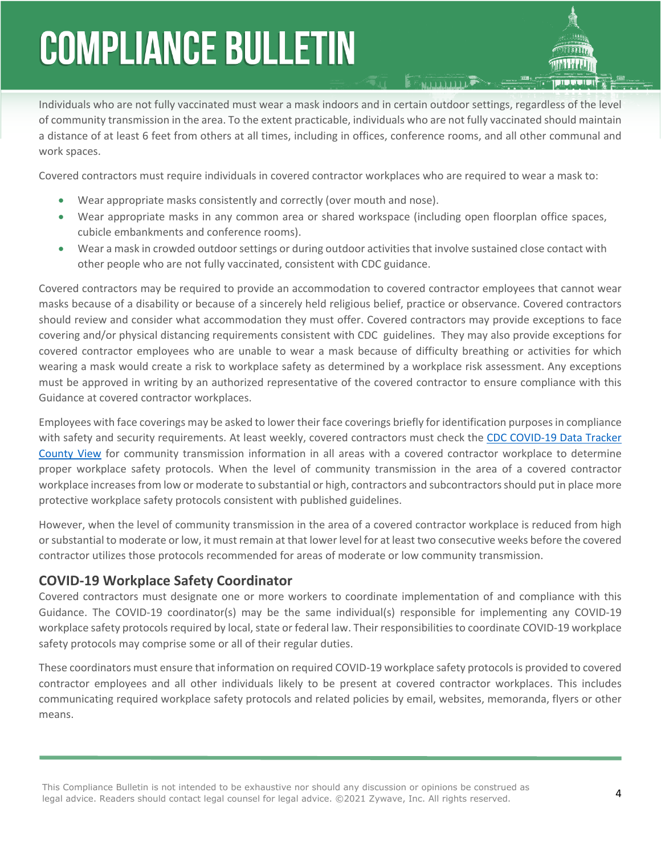Individuals who are not fully vaccinated must wear a mask indoors and in certain outdoor settings, regardless of the level of community transmission in the area. To the extent practicable, individuals who are not fully vaccinated should maintain a distance of at least 6 feet from others at all times, including in offices, conference rooms, and all other communal and work spaces.

Covered contractors must require individuals in covered contractor workplaces who are required to wear a mask to:

- Wear appropriate masks consistently and correctly (over mouth and nose).
- Wear appropriate masks in any common area or shared workspace (including open floorplan office spaces, cubicle embankments and conference rooms).
- Wear a mask in crowded outdoor settings or during outdoor activities that involve sustained close contact with other people who are not fully vaccinated, consistent with CDC guidance.

Covered contractors may be required to provide an accommodation to covered contractor employees that cannot wear masks because of a disability or because of a sincerely held religious belief, practice or observance. Covered contractors should review and consider what accommodation they must offer. Covered contractors may provide exceptions to face covering and/or physical distancing requirements consistent with CDC guidelines. They may also provide exceptions for covered contractor employees who are unable to wear a mask because of difficulty breathing or activities for which wearing a mask would create a risk to workplace safety as determined by a workplace risk assessment. Any exceptions must be approved in writing by an authorized representative of the covered contractor to ensure compliance with this Guidance at covered contractor workplaces.

Employees with face coverings may be asked to lower their face coverings briefly for identification purposes in compliance with safety and security requirements. At least weekly, covered contractors must check the [CDC COVID-19 Data Tracker](https://covid.cdc.gov/covid-data-tracker/#county-view)  [County View](https://covid.cdc.gov/covid-data-tracker/#county-view) for community transmission information in all areas with a covered contractor workplace to determine proper workplace safety protocols. When the level of community transmission in the area of a covered contractor workplace increases from low or moderate to substantial or high, contractors and subcontractors should put in place more protective workplace safety protocols consistent with published guidelines.

However, when the level of community transmission in the area of a covered contractor workplace is reduced from high or substantial to moderate or low, it must remain at that lower level for at least two consecutive weeks before the covered contractor utilizes those protocols recommended for areas of moderate or low community transmission.

### **COVID-19 Workplace Safety Coordinator**

Covered contractors must designate one or more workers to coordinate implementation of and compliance with this Guidance. The COVID-19 coordinator(s) may be the same individual(s) responsible for implementing any COVID-19 workplace safety protocols required by local, state or federal law. Their responsibilities to coordinate COVID-19 workplace safety protocols may comprise some or all of their regular duties.

These coordinators must ensure that information on required COVID-19 workplace safety protocols is provided to covered contractor employees and all other individuals likely to be present at covered contractor workplaces. This includes communicating required workplace safety protocols and related policies by email, websites, memoranda, flyers or other means.

This Compliance Bulletin is not intended to be exhaustive nor should any discussion or opinions be construed as legal advice. Readers should contact legal counsel for legal advice. ©2021 Zywave, Inc. All rights reserved.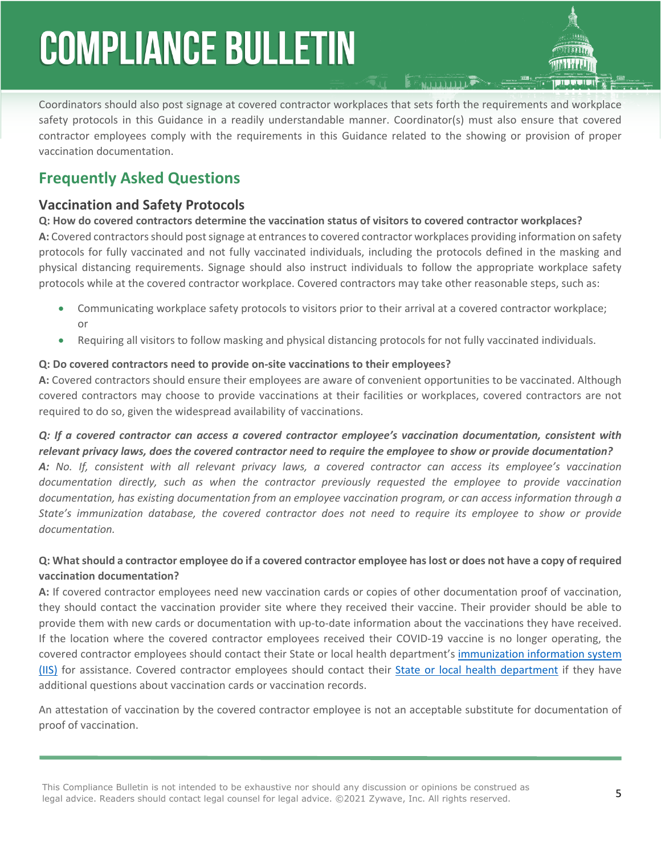Coordinators should also post signage at covered contractor workplaces that sets forth the requirements and workplace safety protocols in this Guidance in a readily understandable manner. Coordinator(s) must also ensure that covered contractor employees comply with the requirements in this Guidance related to the showing or provision of proper vaccination documentation.

### **Frequently Asked Questions**

### **Vaccination and Safety Protocols**

**Q: How do covered contractors determine the vaccination status of visitors to covered contractor workplaces? A:** Covered contractors should post signage at entrances to covered contractor workplaces providing information on safety protocols for fully vaccinated and not fully vaccinated individuals, including the protocols defined in the masking and physical distancing requirements. Signage should also instruct individuals to follow the appropriate workplace safety protocols while at the covered contractor workplace. Covered contractors may take other reasonable steps, such as:

- Communicating workplace safety protocols to visitors prior to their arrival at a covered contractor workplace; or
- Requiring all visitors to follow masking and physical distancing protocols for not fully vaccinated individuals.

### **Q: Do covered contractors need to provide on-site vaccinations to their employees?**

**A:** Covered contractors should ensure their employees are aware of [convenient opportunities to be vaccinated.](https://www.vaccines.gov/) Although covered contractors may choose to provide vaccinations at their facilities or workplaces, covered contractors are not required to do so, given the widespread availability of vaccinations.

*Q: If a covered contractor can access a covered contractor employee's vaccination documentation, consistent with relevant privacy laws, does the covered contractor need to require the employee to show or provide documentation? A: No. If, consistent with all relevant privacy laws, a covered contractor can access its employee's vaccination documentation directly, such as when the contractor previously requested the employee to provide vaccination documentation, has existing documentation from an employee vaccination program, or can access information through a State's immunization database, the covered contractor does not need to require its employee to show or provide documentation.*

### **Q: What should a contractor employee do if a covered contractor employee has lost or does not have a copy of required vaccination documentation?**

**A:** If covered contractor employees need new vaccination cards or copies of other documentation proof of vaccination, they should contact the vaccination provider site where they received their vaccine. Their provider should be able to provide them with new cards or documentation with up-to-date information about the vaccinations they have received. If the location where the covered contractor employees received their COVID-19 vaccine is no longer operating, the covered contractor employees should contact their State or local health department's [immunization information system](https://www.cdc.gov/vaccines/programs/iis/contacts-locate-records.html#state)  [\(IIS\)](https://www.cdc.gov/vaccines/programs/iis/contacts-locate-records.html#state) for assistance. Covered contractor employees should contact their [State or local health department](https://www.cdc.gov/coronavirus/2019-ncov/php/hd-search/index.html) if they have additional questions about vaccination cards or vaccination records.

An attestation of vaccination by the covered contractor employee is not an acceptable substitute for documentation of proof of vaccination.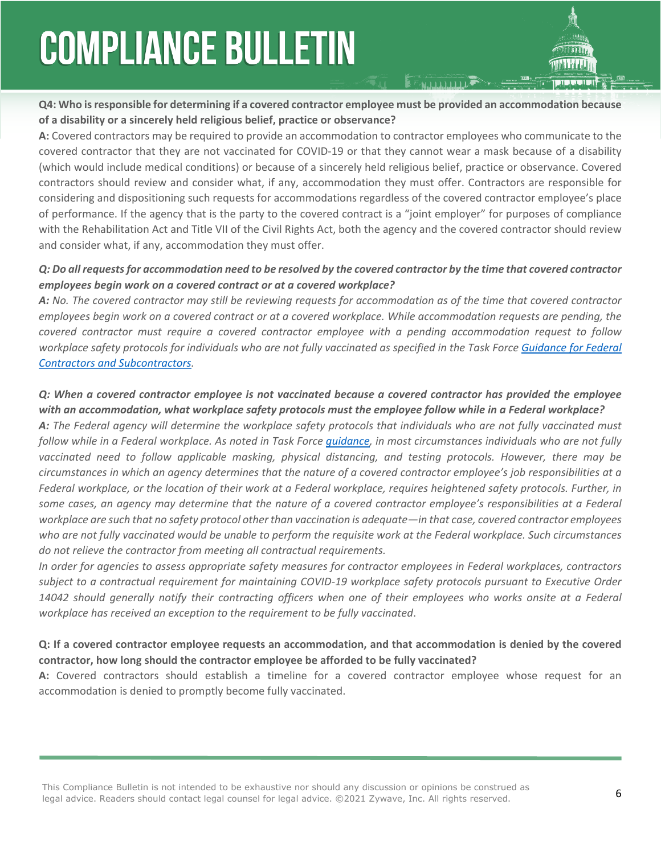**Q4: Who is responsible for determining if a covered contractor employee must be provided an accommodation because of a disability or a sincerely held religious belief, practice or observance?**

**A:** Covered contractors may be required to provide an accommodation to contractor employees who communicate to the covered contractor that they are not vaccinated for COVID-19 or that they cannot wear a mask because of a disability (which would include medical conditions) or because of a sincerely held religious belief, practice or observance. Covered contractors should review and consider what, if any, accommodation they must offer. Contractors are responsible for considering and dispositioning such requests for accommodations regardless of the covered contractor employee's place of performance. If the agency that is the party to the covered contract is a "joint employer" for purposes of compliance with the Rehabilitation Act and Title VII of the Civil Rights Act, both the agency and the covered contractor should review and consider what, if any, accommodation they must offer.

### *Q: Do all requests for accommodation need to be resolved by the covered contractor by the time that covered contractor employees begin work on a covered contract or at a covered workplace?*

*A: No. The covered contractor may still be reviewing requests for accommodation as of the time that covered contractor employees begin work on a covered contract or at a covered workplace. While accommodation requests are pending, the covered contractor must require a covered contractor employee with a pending accommodation request to follow workplace safety protocols for individuals who are not fully vaccinated as specified in the Task Force [Guidance for Federal](https://www.saferfederalworkforce.gov/downloads/Draft%20contractor%20guidance%20doc_20210922.pdf)  [Contractors and Subcontractors](https://www.saferfederalworkforce.gov/downloads/Draft%20contractor%20guidance%20doc_20210922.pdf).*

### *Q: When a covered contractor employee is not vaccinated because a covered contractor has provided the employee with an accommodation, what workplace safety protocols must the employee follow while in a Federal workplace?*

*A: The Federal agency will determine the workplace safety protocols that individuals who are not fully vaccinated must follow while in a Federal workplace. As noted in Task Force [guidance,](https://www.saferfederalworkforce.gov/faq/vaccinations/) in most circumstances individuals who are not fully vaccinated need to follow applicable masking, physical distancing, and testing protocols. However, there may be circumstances in which an agency determines that the nature of a covered contractor employee's job responsibilities at a Federal workplace, or the location of their work at a Federal workplace, requires heightened safety protocols. Further, in some cases, an agency may determine that the nature of a covered contractor employee's responsibilities at a Federal workplace are such that no safety protocol other than vaccination is adequate—in that case, covered contractor employees who are not fully vaccinated would be unable to perform the requisite work at the Federal workplace. Such circumstances do not relieve the contractor from meeting all contractual requirements.*

*In order for agencies to assess appropriate safety measures for contractor employees in Federal workplaces, contractors subject to a contractual requirement for maintaining COVID-19 workplace safety protocols pursuant to Executive Order*  14042 should generally notify their contracting officers when one of their employees who works onsite at a Federal *workplace has received an exception to the requirement to be fully vaccinated*.

### **Q: If a covered contractor employee requests an accommodation, and that accommodation is denied by the covered contractor, how long should the contractor employee be afforded to be fully vaccinated?**

**A:** Covered contractors should establish a timeline for a covered contractor employee whose request for an accommodation is denied to promptly become fully vaccinated.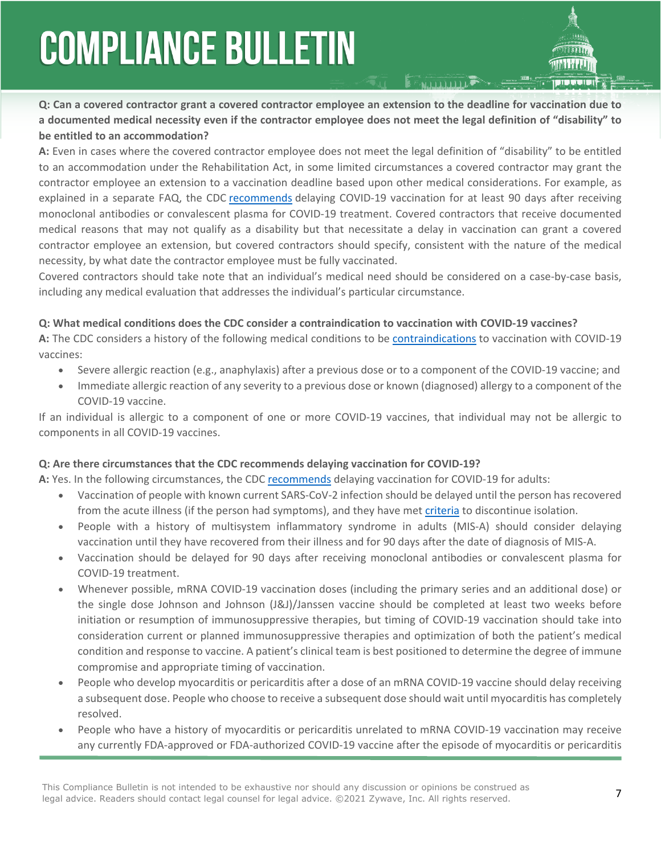**Q: Can a covered contractor grant a covered contractor employee an extension to the deadline for vaccination due to a documented medical necessity even if the contractor employee does not meet the legal definition of "disability" to be entitled to an accommodation?**

**A:** Even in cases where the covered contractor employee does not meet the legal definition of "disability" to be entitled to an accommodation under the Rehabilitation Act, in some limited circumstances a covered contractor may grant the contractor employee an extension to a vaccination deadline based upon other medical considerations. For example, as explained in a separate FAQ, the CDC [recommends](https://www.cdc.gov/vaccines/covid-19/clinical-considerations/covid-19-vaccines-us.html?CDC_AA_refVal=https%3A%2F%2Fwww.cdc.gov%2Fvaccines%2Fcovid-19%2Finfo-by-product%2Fclinical-considerations.html) delaying COVID-19 vaccination for at least 90 days after receiving monoclonal antibodies or convalescent plasma for COVID-19 treatment. Covered contractors that receive documented medical reasons that may not qualify as a disability but that necessitate a delay in vaccination can grant a covered contractor employee an extension, but covered contractors should specify, consistent with the nature of the medical necessity, by what date the contractor employee must be fully vaccinated.

Covered contractors should take note that an individual's medical need should be considered on a case-by-case basis, including any medical evaluation that addresses the individual's particular circumstance.

#### **Q: What medical conditions does the CDC consider a contraindication to vaccination with COVID-19 vaccines?**

**A:** The CDC considers a history of the following medical conditions to be [contraindications](https://www.cdc.gov/vaccines/covid-19/clinical-considerations/covid-19-vaccines-us.html?CDC_AA_refVal=https%3A%2F%2Fwww.cdc.gov%2Fvaccines%2Fcovid-19%2Finfo-by-product%2Fclinical-considerations.html) to vaccination with COVID-19 vaccines:

- Severe allergic reaction (e.g., anaphylaxis) after a previous dose or to a component of the COVID-19 vaccine; and
- Immediate allergic reaction of any severity to a previous dose or known (diagnosed) allergy to a component of the COVID-19 vaccine.

If an individual is allergic to a component of one or more COVID-19 vaccines, that individual may not be allergic to components in all COVID-19 vaccines.

#### **Q: Are there circumstances that the CDC recommends delaying vaccination for COVID-19?**

**A:** Yes. In the following circumstances, the CDC [recommends](https://www.cdc.gov/vaccines/covid-19/clinical-considerations/covid-19-vaccines-us.html?CDC_AA_refVal=https%3A%2F%2Fwww.cdc.gov%2Fvaccines%2Fcovid-19%2Finfo-by-product%2Fclinical-considerations.html) delaying vaccination for COVID-19 for adults:

- Vaccination of people with known current SARS-CoV-2 infection should be delayed until the person has recovered from the acute illness (if the person had symptoms), and they have met [criteria](http://www.cdc.gov/coronavirus/2019-ncov/hcp/disposition-in-home-patients.html) to discontinue isolation.
- People with a history of multisystem inflammatory syndrome in adults (MIS-A) should consider delaying vaccination until they have recovered from their illness and for 90 days after the date of diagnosis of MIS-A.
- Vaccination should be delayed for 90 days after receiving monoclonal antibodies or convalescent plasma for COVID-19 treatment.
- Whenever possible, mRNA COVID-19 vaccination doses (including the primary series and an additional dose) or the single dose Johnson and Johnson (J&J)/Janssen vaccine should be completed at least two weeks before initiation or resumption of immunosuppressive therapies, but timing of COVID-19 vaccination should take into consideration current or planned immunosuppressive therapies and optimization of both the patient's medical condition and response to vaccine. A patient's clinical team is best positioned to determine the degree of immune compromise and appropriate timing of vaccination.
- People who develop myocarditis or pericarditis after a dose of an mRNA COVID-19 vaccine should delay receiving a subsequent dose. People who choose to receive a subsequent dose should wait until myocarditis has completely resolved.
- People who have a history of myocarditis or pericarditis unrelated to mRNA COVID-19 vaccination may receive any currently FDA-approved or FDA-authorized COVID-19 vaccine after the episode of myocarditis or pericarditis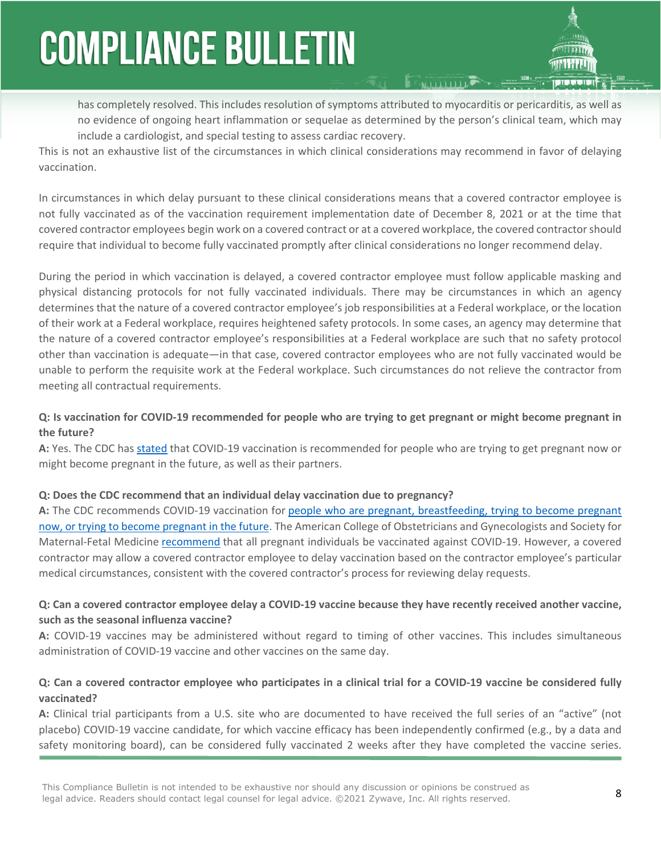has completely resolved. This includes resolution of symptoms attributed to myocarditis or pericarditis, as well as no evidence of ongoing heart inflammation or sequelae as determined by the person's clinical team, which may include a cardiologist, and special testing to assess cardiac recovery.

This is not an exhaustive list of the circumstances in which clinical considerations may recommend in favor of delaying vaccination.

In circumstances in which delay pursuant to these clinical considerations means that a covered contractor employee is not fully vaccinated as of the vaccination requirement implementation date of December 8, 2021 or at the time that covered contractor employees begin work on a covered contract or at a covered workplace, the covered contractor should require that individual to become fully vaccinated promptly after clinical considerations no longer recommend delay.

During the period in which vaccination is delayed, a covered contractor employee must follow applicable masking and physical distancing protocols for not fully vaccinated individuals. There may be circumstances in which an agency determines that the nature of a covered contractor employee's job responsibilities at a Federal workplace, or the location of their work at a Federal workplace, requires heightened safety protocols. In some cases, an agency may determine that the nature of a covered contractor employee's responsibilities at a Federal workplace are such that no safety protocol other than vaccination is adequate—in that case, covered contractor employees who are not fully vaccinated would be unable to perform the requisite work at the Federal workplace. Such circumstances do not relieve the contractor from meeting all contractual requirements.

### **Q: Is vaccination for COVID-19 recommended for people who are trying to get pregnant or might become pregnant in the future?**

**A:** Yes. The CDC has [stated](https://www.cdc.gov/coronavirus/2019-ncov/vaccines/planning-for-pregnancy.html) that COVID-19 vaccination is recommended for people who are trying to get pregnant now or might become pregnant in the future, as well as their partners.

#### **Q: Does the CDC recommend that an individual delay vaccination due to pregnancy?**

**A:** The CDC recommends COVID-19 vaccination for [people who are pregnant, breastfeeding, trying to become pregnant](https://www.cdc.gov/coronavirus/2019-ncov/need-extra-precautions/pregnant-people.html)  [now, or trying to become pregnant in the future](https://www.cdc.gov/coronavirus/2019-ncov/need-extra-precautions/pregnant-people.html). The American College of Obstetricians and Gynecologists and Society for Maternal-Fetal Medicine [recommend](https://www.acog.org/news/news-releases/2021/07/acog-smfm-recommend-covid-19-vaccination-for-pregnant-individuals) that all pregnant individuals be vaccinated against COVID-19. However, a covered contractor may allow a covered contractor employee to delay vaccination based on the contractor employee's particular medical circumstances, consistent with the covered contractor's process for reviewing delay requests.

### **Q: Can a covered contractor employee delay a COVID-19 vaccine because they have recently received another vaccine, such as the seasonal influenza vaccine?**

**A:** COVID-19 vaccines may be administered without regard to timing of other vaccines. This includes simultaneous administration of COVID-19 vaccine and other vaccines on the same day.

### **Q: Can a covered contractor employee who participates in a clinical trial for a COVID-19 vaccine be considered fully vaccinated?**

**A:** Clinical trial participants from a U.S. site who are documented to have received the full series of an "active" (not placebo) COVID-19 vaccine candidate, for which vaccine efficacy has been independently confirmed (e.g., by a data and safety monitoring board), can be considered fully vaccinated 2 weeks after they have completed the vaccine series.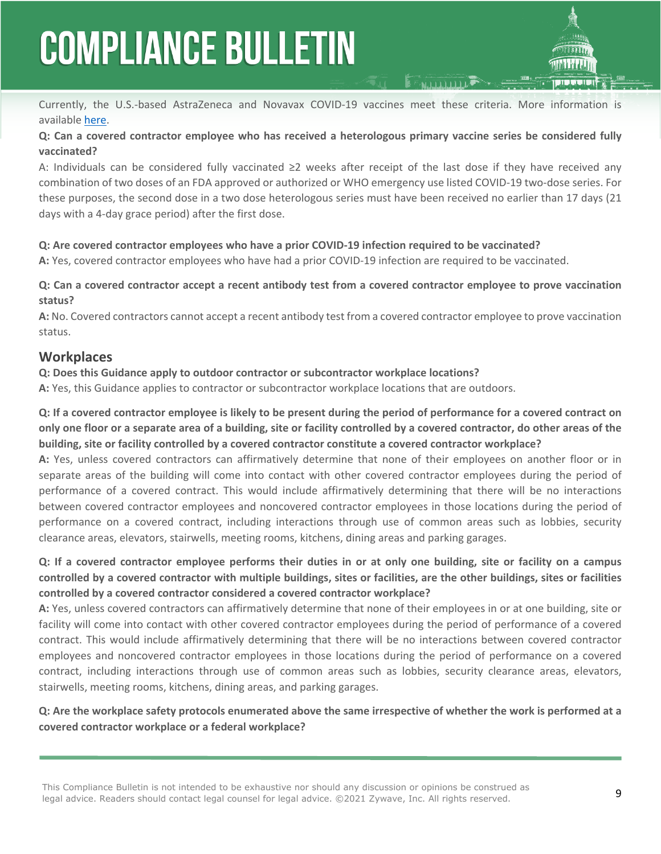

Currently, the U.S.-based AstraZeneca and Novavax COVID-19 vaccines meet these criteria. More information is available [here.](https://www.cdc.gov/vaccines/covid-19/clinical-considerations/covid-19-vaccines-us.html#vaccinated-part-clinical-trail)

### **Q: Can a covered contractor employee who has received a heterologous primary vaccine series be considered fully vaccinated?**

A: Individuals can be considered fully vaccinated ≥2 weeks after receipt of the last dose if they have received any combination of two doses of an FDA approved or authorized or WHO emergency use listed COVID-19 two-dose series. For these purposes, the second dose in a two dose heterologous series must have been received no earlier than 17 days (21 days with a 4-day grace period) after the first dose.

### **Q: Are covered contractor employees who have a prior COVID-19 infection required to be vaccinated?**

**A:** Yes, covered contractor employees who have had a prior COVID-19 infection are required to be vaccinated.

### **Q: Can a covered contractor accept a recent antibody test from a covered contractor employee to prove vaccination status?**

**A:** No. Covered contractors cannot accept a recent antibody test from a covered contractor employee to prove vaccination status.

### **Workplaces**

### **Q: Does this Guidance apply to outdoor contractor or subcontractor workplace locations?**

**A:** Yes, this Guidance applies to contractor or subcontractor workplace locations that are outdoors.

**Q: If a covered contractor employee is likely to be present during the period of performance for a covered contract on only one floor or a separate area of a building, site or facility controlled by a covered contractor, do other areas of the building, site or facility controlled by a covered contractor constitute a covered contractor workplace?** 

**A:** Yes, unless covered contractors can affirmatively determine that none of their employees on another floor or in separate areas of the building will come into contact with other covered contractor employees during the period of performance of a covered contract. This would include affirmatively determining that there will be no interactions between covered contractor employees and noncovered contractor employees in those locations during the period of performance on a covered contract, including interactions through use of common areas such as lobbies, security clearance areas, elevators, stairwells, meeting rooms, kitchens, dining areas and parking garages.

### **Q: If a covered contractor employee performs their duties in or at only one building, site or facility on a campus controlled by a covered contractor with multiple buildings, sites or facilities, are the other buildings, sites or facilities controlled by a covered contractor considered a covered contractor workplace?**

**A:** Yes, unless covered contractors can affirmatively determine that none of their employees in or at one building, site or facility will come into contact with other covered contractor employees during the period of performance of a covered contract. This would include affirmatively determining that there will be no interactions between covered contractor employees and noncovered contractor employees in those locations during the period of performance on a covered contract, including interactions through use of common areas such as lobbies, security clearance areas, elevators, stairwells, meeting rooms, kitchens, dining areas, and parking garages.

### **Q: Are the workplace safety protocols enumerated above the same irrespective of whether the work is performed at a covered contractor workplace or a federal workplace?**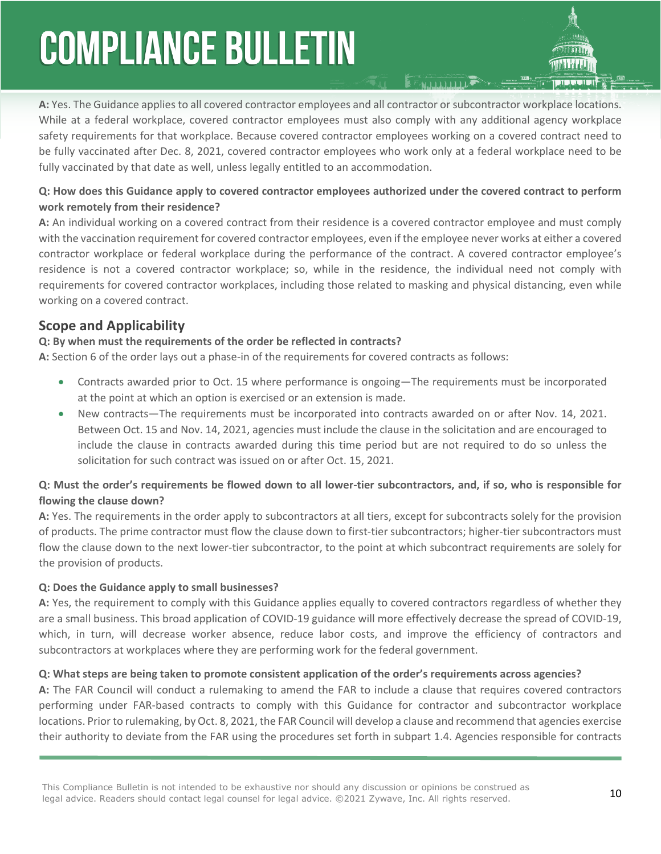**A:** Yes. The Guidance applies to all covered contractor employees and all contractor or subcontractor workplace locations. While at a federal workplace, covered contractor employees must also comply with any additional agency workplace safety requirements for that workplace. Because covered contractor employees working on a covered contract need to be fully vaccinated after Dec. 8, 2021, covered contractor employees who work only at a federal workplace need to be fully vaccinated by that date as well, unless legally entitled to an accommodation.

### **Q: How does this Guidance apply to covered contractor employees authorized under the covered contract to perform work remotely from their residence?**

**A:** An individual working on a covered contract from their residence is a covered contractor employee and must comply with the vaccination requirement for covered contractor employees, even if the employee never works at either a covered contractor workplace or federal workplace during the performance of the contract. A covered contractor employee's residence is not a covered contractor workplace; so, while in the residence, the individual need not comply with requirements for covered contractor workplaces, including those related to masking and physical distancing, even while working on a covered contract.

### **Scope and Applicability**

### **Q: By when must the requirements of the order be reflected in contracts?**

**A:** Section 6 of the order lays out a phase-in of the requirements for covered contracts as follows:

- Contracts awarded prior to Oct. 15 where performance is ongoing—The requirements must be incorporated at the point at which an option is exercised or an extension is made.
- New contracts—The requirements must be incorporated into contracts awarded on or after Nov. 14, 2021. Between Oct. 15 and Nov. 14, 2021, agencies must include the clause in the solicitation and are encouraged to include the clause in contracts awarded during this time period but are not required to do so unless the solicitation for such contract was issued on or after Oct. 15, 2021.

### **Q: Must the order's requirements be flowed down to all lower-tier subcontractors, and, if so, who is responsible for flowing the clause down?**

**A:** Yes. The requirements in the order apply to subcontractors at all tiers, except for subcontracts solely for the provision of products. The prime contractor must flow the clause down to first-tier subcontractors; higher-tier subcontractors must flow the clause down to the next lower-tier subcontractor, to the point at which subcontract requirements are solely for the provision of products.

#### **Q: Does the Guidance apply to small businesses?**

**A:** Yes, the requirement to comply with this Guidance applies equally to covered contractors regardless of whether they are a small business. This broad application of COVID-19 guidance will more effectively decrease the spread of COVID-19, which, in turn, will decrease worker absence, reduce labor costs, and improve the efficiency of contractors and subcontractors at workplaces where they are performing work for the federal government.

#### **Q: What steps are being taken to promote consistent application of the order's requirements across agencies?**

**A:** The FAR Council will conduct a rulemaking to amend the FAR to include a clause that requires covered contractors performing under FAR-based contracts to comply with this Guidance for contractor and subcontractor workplace locations. Prior to rulemaking, by Oct. 8, 2021, the FAR Council will develop a clause and recommend that agencies exercise their authority to deviate from the FAR using the procedures set forth in [subpart 1.4](https://www.acquisition.gov/far/subpart-1.4). Agencies responsible for contracts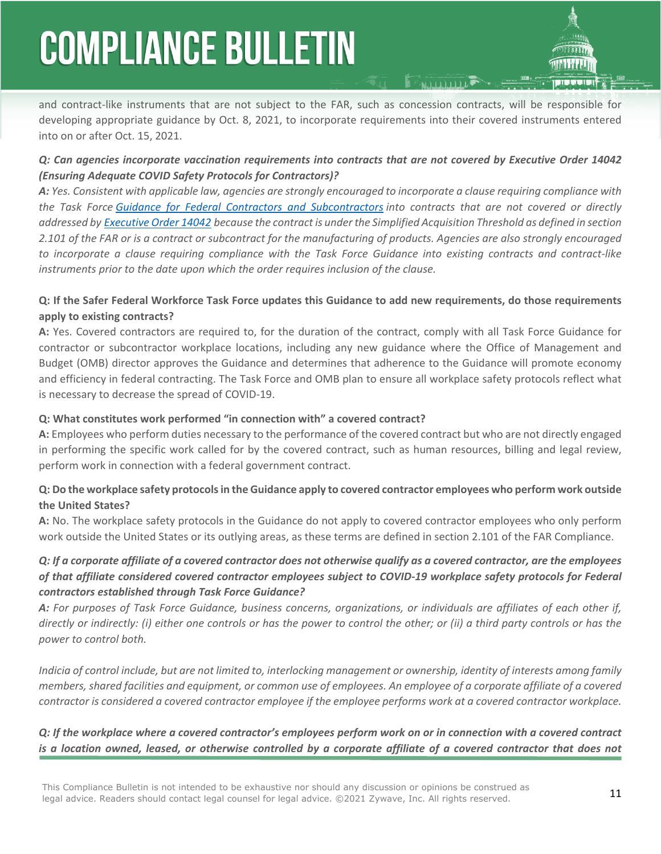and contract-like instruments that are not subject to the FAR, such as concession contracts, will be responsible for developing appropriate guidance by Oct. 8, 2021, to incorporate requirements into their covered instruments entered into on or after Oct. 15, 2021.

### *Q: Can agencies incorporate vaccination requirements into contracts that are not covered by Executive Order 14042 (Ensuring Adequate COVID Safety Protocols for Contractors)?*

*A: Yes. Consistent with applicable law, agencies are strongly encouraged to incorporate a clause requiring compliance with the Task Force [Guidance for Federal Contractors and Subcontractors](https://www.saferfederalworkforce.gov/downloads/Draft%20contractor%20guidance%20doc_20210922.pdf) into contracts that are not covered or directly addressed by [Executive Order 14042](https://www.whitehouse.gov/briefing-room/presidential-actions/2021/09/09/executive-order-on-ensuring-adequate-covid-safety-protocols-for-federal-contractors/) because the contract is under the Simplified Acquisition Threshold as defined in section 2.101 of the FAR or is a contract or subcontract for the manufacturing of products. Agencies are also strongly encouraged to incorporate a clause requiring compliance with the Task Force Guidance into existing contracts and contract-like instruments prior to the date upon which the order requires inclusion of the clause.*

### **Q: If the Safer Federal Workforce Task Force updates this Guidance to add new requirements, do those requirements apply to existing contracts?**

**A:** Yes. Covered contractors are required to, for the duration of the contract, comply with all Task Force Guidance for contractor or subcontractor workplace locations, including any new guidance where the Office of Management and Budget (OMB) director approves the Guidance and determines that adherence to the Guidance will promote economy and efficiency in federal contracting. The Task Force and OMB plan to ensure all workplace safety protocols reflect what is necessary to decrease the spread of COVID-19.

### **Q: What constitutes work performed "in connection with" a covered contract?**

**A:** Employees who perform duties necessary to the performance of the covered contract but who are not directly engaged in performing the specific work called for by the covered contract, such as human resources, billing and legal review, perform work in connection with a federal government contract.

### **Q: Do the workplace safety protocols in the Guidance apply to covered contractor employees who perform work outside the United States?**

**A:** No. The workplace safety protocols in the Guidance do not apply to covered contractor employees who only perform work outside the United States or its outlying areas, as these terms are defined in [section 2.101](https://www.acquisition.gov/far/2.101) of the FAR Compliance.

### *Q: If a corporate affiliate of a covered contractor does not otherwise qualify as a covered contractor, are the employees of that affiliate considered covered contractor employees subject to COVID-19 workplace safety protocols for Federal contractors established through Task Force Guidance?*

*A: For purposes of Task Force Guidance, business concerns, organizations, or individuals are affiliates of each other if, directly or indirectly: (i) either one controls or has the power to control the other; or (ii) a third party controls or has the power to control both.*

*Indicia of control include, but are not limited to, interlocking management or ownership, identity of interests among family members, shared facilities and equipment, or common use of employees. An employee of a corporate affiliate of a covered contractor is considered a covered contractor employee if the employee performs work at a covered contractor workplace.*

### *Q: If the workplace where a covered contractor's employees perform work on or in connection with a covered contract is a location owned, leased, or otherwise controlled by a corporate affiliate of a covered contractor that does not*

This Compliance Bulletin is not intended to be exhaustive nor should any discussion or opinions be construed as<br>Lead advise. Readers should expect lead several for lead advise. @2021.7 www. The All wishts received. legal advice. Readers should contact legal counsel for legal advice. ©2021 Zywave, Inc. All rights reserved.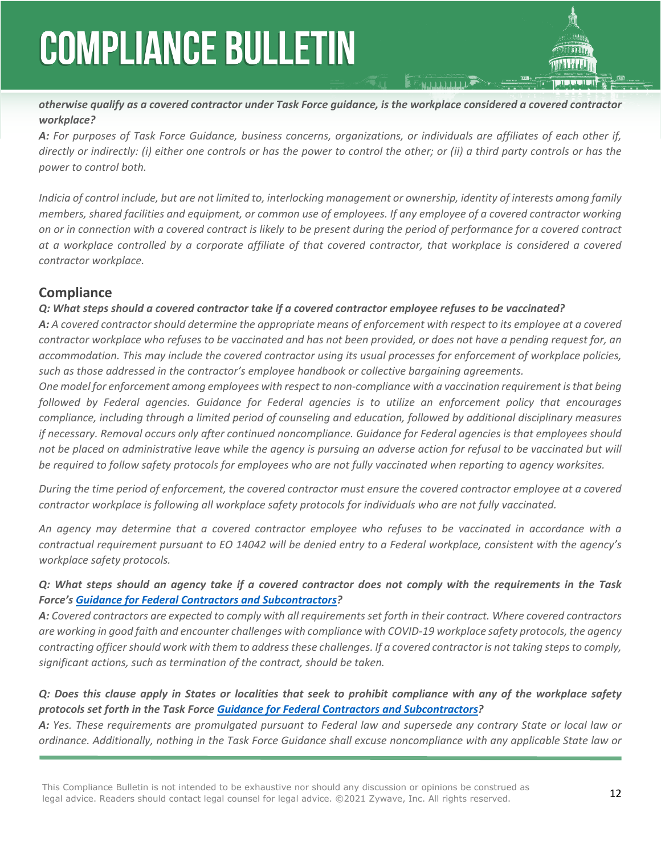

*otherwise qualify as a covered contractor under Task Force guidance, is the workplace considered a covered contractor workplace?*

*A: For purposes of Task Force Guidance, business concerns, organizations, or individuals are affiliates of each other if, directly or indirectly: (i) either one controls or has the power to control the other; or (ii) a third party controls or has the power to control both.*

*Indicia of control include, but are not limited to, interlocking management or ownership, identity of interests among family members, shared facilities and equipment, or common use of employees. If any employee of a covered contractor working on or in connection with a covered contract is likely to be present during the period of performance for a covered contract at a workplace controlled by a corporate affiliate of that covered contractor, that workplace is considered a covered contractor workplace.*

### **Compliance**

### *Q: What steps should a covered contractor take if a covered contractor employee refuses to be vaccinated?*

*A: A covered contractor should determine the appropriate means of enforcement with respect to its employee at a covered contractor workplace who refuses to be vaccinated and has not been provided, or does not have a pending request for, an accommodation. This may include the covered contractor using its usual processes for enforcement of workplace policies, such as those addressed in the contractor's employee handbook or collective bargaining agreements.*

*One model for enforcement among employees with respect to non-compliance with a vaccination requirement is that being followed by Federal agencies. Guidance for Federal agencies is to utilize an enforcement policy that encourages compliance, including through a limited period of counseling and education, followed by additional disciplinary measures if necessary. Removal occurs only after continued noncompliance. Guidance for Federal agencies is that employees should not be placed on administrative leave while the agency is pursuing an adverse action for refusal to be vaccinated but will be required to follow safety protocols for employees who are not fully vaccinated when reporting to agency worksites.*

*During the time period of enforcement, the covered contractor must ensure the covered contractor employee at a covered contractor workplace is following all workplace safety protocols for individuals who are not fully vaccinated.*

*An agency may determine that a covered contractor employee who refuses to be vaccinated in accordance with a contractual requirement pursuant to EO 14042 will be denied entry to a Federal workplace, consistent with the agency's workplace safety protocols.*

### *Q: What steps should an agency take if a covered contractor does not comply with the requirements in the Task Force's [Guidance for Federal Contractors and Subcontractors](https://www.saferfederalworkforce.gov/downloads/Draft%20contractor%20guidance%20doc_20210922.pdf)?*

*A: Covered contractors are expected to comply with all requirements set forth in their contract. Where covered contractors are working in good faith and encounter challenges with compliance with COVID-19 workplace safety protocols, the agency contracting officer should work with them to address these challenges. If a covered contractor is not taking steps to comply, significant actions, such as termination of the contract, should be taken.*

### *Q: Does this clause apply in States or localities that seek to prohibit compliance with any of the workplace safety protocols set forth in the Task Force [Guidance for Federal Contractors and Subcontractors?](https://www.saferfederalworkforce.gov/downloads/Draft%20contractor%20guidance%20doc_20210922.pdf)*

*A: Yes. These requirements are promulgated pursuant to Federal law and supersede any contrary State or local law or ordinance. Additionally, nothing in the Task Force Guidance shall excuse noncompliance with any applicable State law or*